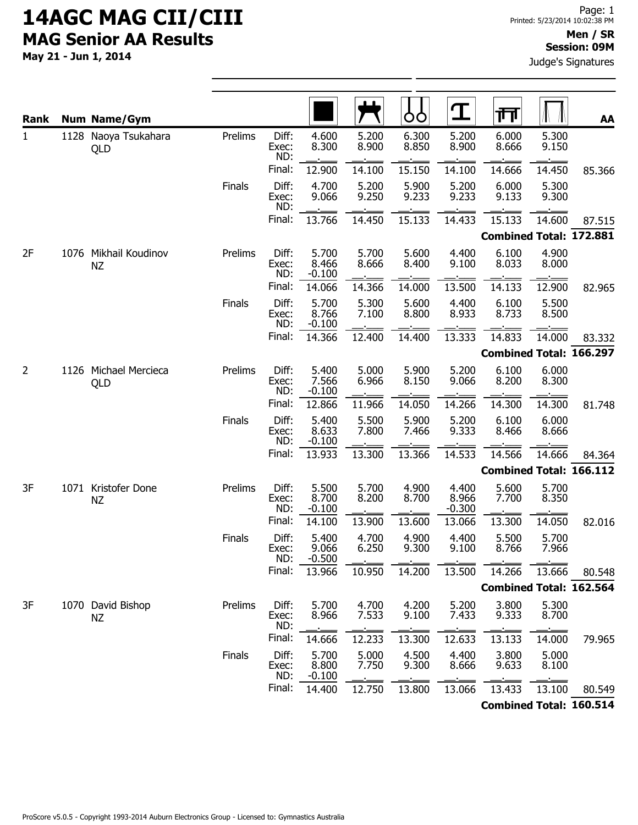May 21 - Jun 1, 2014

Judge's Signatures

| <b>Rank</b>  |  | <b>Num Name/Gym</b>                |         |                       |                            |                | Ő<br>O         | 工                          | 帀                              |                | AA     |
|--------------|--|------------------------------------|---------|-----------------------|----------------------------|----------------|----------------|----------------------------|--------------------------------|----------------|--------|
| $\mathbf{1}$ |  | 1128 Naoya Tsukahara<br>QLD        | Prelims | Diff:<br>Exec:<br>ND: | 4.600<br>8.300             | 5.200<br>8.900 | 6.300<br>8.850 | 5.200<br>8.900             | 6.000<br>8.666                 | 5.300<br>9.150 |        |
|              |  |                                    |         | Final:                | 12.900                     | 14.100         | 15.150         | 14.100                     | 14.666                         | 14.450         | 85.366 |
|              |  |                                    | Finals  | Diff:<br>Exec:<br>ND: | 4.700<br>9.066             | 5.200<br>9.250 | 5.900<br>9.233 | 5.200<br>9.233             | 6.000<br>9.133                 | 5.300<br>9.300 |        |
|              |  |                                    |         | Final:                | 13.766                     | 14.450         | 15.133         | 14.433                     | 15.133                         | 14.600         | 87.515 |
|              |  |                                    |         |                       |                            |                |                |                            | <b>Combined Total: 172.881</b> |                |        |
| 2F           |  | 1076 Mikhail Koudinov<br><b>NZ</b> | Prelims | Diff:<br>Exec:<br>ND: | 5.700<br>8.466<br>$-0.100$ | 5.700<br>8.666 | 5.600<br>8.400 | 4.400<br>9.100             | 6.100<br>8.033                 | 4.900<br>8.000 |        |
|              |  |                                    |         | Final:                | 14.066                     | 14.366         | 14.000         | 13.500                     | 14.133                         | 12.900         | 82.965 |
|              |  |                                    | Finals  | Diff:<br>Exec:<br>ND: | 5.700<br>8.766<br>$-0.100$ | 5.300<br>7.100 | 5.600<br>8.800 | 4.400<br>8.933             | 6.100<br>8.733                 | 5.500<br>8.500 |        |
|              |  |                                    |         | Final:                | 14.366                     | 12.400         | 14.400         | 13.333                     | 14.833                         | 14.000         | 83.332 |
|              |  |                                    |         |                       |                            |                |                |                            | <b>Combined Total: 166.297</b> |                |        |
| 2            |  | 1126 Michael Mercieca<br>QLD       | Prelims | Diff:<br>Exec:<br>ND: | 5.400<br>7.566<br>$-0.100$ | 5.000<br>6.966 | 5.900<br>8.150 | 5.200<br>9.066             | 6.100<br>8.200                 | 6.000<br>8.300 |        |
|              |  |                                    |         | Final:                | 12.866                     | 11.966         | 14.050         | 14.266                     | 14.300                         | 14.300         | 81.748 |
|              |  |                                    | Finals  | Diff:<br>Exec:<br>ND: | 5.400<br>8.633<br>$-0.100$ | 5.500<br>7.800 | 5.900<br>7.466 | 5.200<br>9.333             | 6.100<br>8.466                 | 6.000<br>8.666 |        |
|              |  |                                    |         | Final:                | 13.933                     | 13.300         | 13.366         | 14.533                     | 14.566                         | 14.666         | 84.364 |
|              |  |                                    |         |                       |                            |                |                |                            | <b>Combined Total: 166.112</b> |                |        |
| 3F           |  | 1071 Kristofer Done<br><b>NZ</b>   | Prelims | Diff:<br>Exec:<br>ND: | 5.500<br>8.700<br>$-0.100$ | 5.700<br>8.200 | 4.900<br>8.700 | 4.400<br>8.966<br>$-0.300$ | 5.600<br>7.700                 | 5.700<br>8.350 |        |
|              |  |                                    |         | Final:                | 14.100                     | 13.900         | 13.600         | 13.066                     | 13.300                         | 14.050         | 82.016 |
|              |  |                                    | Finals  | Diff:<br>Exec:<br>ND: | 5.400<br>9.066<br>$-0.500$ | 4.700<br>6.250 | 4.900<br>9.300 | 4.400<br>9.100             | 5.500<br>8.766                 | 5.700<br>7.966 |        |
|              |  |                                    |         | Final:                | 13.966                     | 10.950         | 14.200         | 13.500                     | 14.266                         | 13.666         | 80.548 |
|              |  |                                    |         |                       |                            |                |                |                            | <b>Combined Total: 162.564</b> |                |        |
| 3F           |  | 1070 David Bishop<br><b>NZ</b>     | Prelims | Diff:<br>Exec:<br>ND: | 5.700<br>8.966             | 4.700<br>7.533 | 4.200<br>9.100 | 5.200<br>7.433             | 3.800<br>9.333                 | 5.300<br>8.700 |        |
|              |  |                                    |         | Final:                | 14.666                     | 12.233         | 13.300         | 12.633                     | 13.133                         | 14.000         | 79.965 |
|              |  |                                    | Finals  | Diff:<br>Exec:<br>ND: | 5.700<br>8.800<br>$-0.100$ | 5.000<br>7.750 | 4.500<br>9.300 | 4.400<br>8.666             | 3.800<br>9.633                 | 5.000<br>8.100 |        |
|              |  |                                    |         | Final:                | 14.400                     | 12.750         | 13.800         | 13.066                     | 13.433                         | 13.100         | 80.549 |
|              |  |                                    |         |                       |                            |                |                |                            | <b>Combined Total: 160.514</b> |                |        |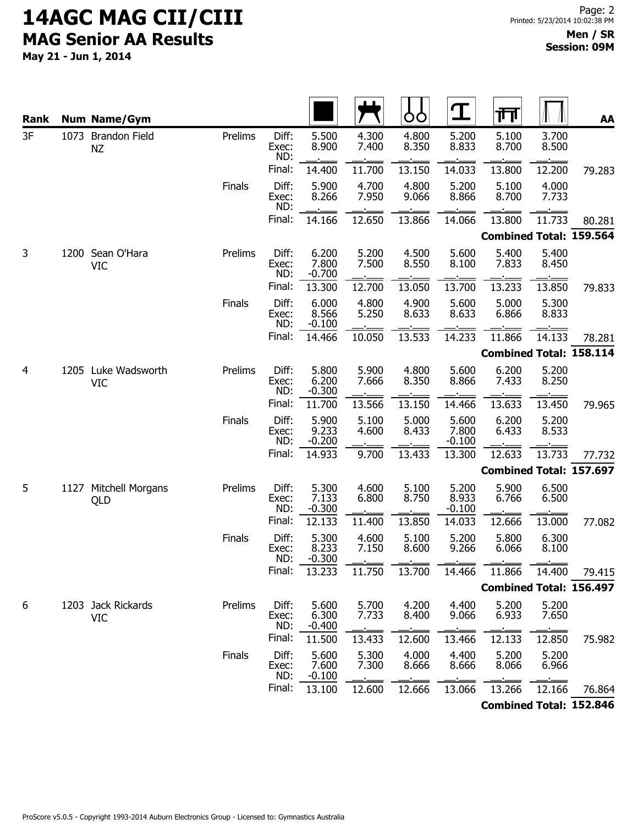| <b>Rank</b> |      | <b>Num Name/Gym</b>               |         |                       |                            |                | OO             | $\mathbf T$                | 帀                              |                | AA     |
|-------------|------|-----------------------------------|---------|-----------------------|----------------------------|----------------|----------------|----------------------------|--------------------------------|----------------|--------|
| 3F          |      | 1073 Brandon Field<br><b>NZ</b>   | Prelims | Diff:<br>Exec:<br>ND: | 5.500<br>8.900             | 4.300<br>7.400 | 4.800<br>8.350 | 5.200<br>8.833             | 5.100<br>8.700                 | 3.700<br>8.500 |        |
|             |      |                                   |         | Final:                | 14.400                     | 11.700         | 13.150         | 14.033                     | 13.800                         | 12.200         | 79.283 |
|             |      |                                   | Finals  | Diff:<br>Exec:<br>ND: | 5.900<br>8.266             | 4.700<br>7.950 | 4.800<br>9.066 | 5.200<br>8.866             | 5.100<br>8.700                 | 4.000<br>7.733 |        |
|             |      |                                   |         | Final:                | 14.166                     | 12.650         | 13.866         | 14.066                     | 13.800                         | 11.733         | 80.281 |
|             |      |                                   |         |                       |                            |                |                |                            | <b>Combined Total: 159.564</b> |                |        |
| 3           |      | 1200 Sean O'Hara<br><b>VIC</b>    | Prelims | Diff:<br>Exec:<br>ND: | 6.200<br>7.800<br>$-0.700$ | 5.200<br>7.500 | 4.500<br>8.550 | 5.600<br>8.100             | 5.400<br>7.833                 | 5.400<br>8.450 |        |
|             |      |                                   |         | Final:                | 13.300                     | 12.700         | 13.050         | 13.700                     | 13.233                         | 13.850         | 79.833 |
|             |      |                                   | Finals  | Diff:<br>Exec:<br>ND: | 6.000<br>8.566<br>$-0.100$ | 4.800<br>5.250 | 4.900<br>8.633 | 5.600<br>8.633             | 5.000<br>6.866                 | 5.300<br>8.833 |        |
|             |      |                                   |         | Final:                | 14.466                     | 10.050         | 13.533         | 14.233                     | 11.866                         | 14.133         | 78.281 |
|             |      |                                   |         |                       |                            |                |                |                            | <b>Combined Total: 158.114</b> |                |        |
| 4           |      | 1205 Luke Wadsworth<br><b>VIC</b> | Prelims | Diff:<br>Exec:<br>ND: | 5.800<br>6.200<br>$-0.300$ | 5.900<br>7.666 | 4.800<br>8.350 | 5.600<br>8.866             | 6.200<br>7.433                 | 5.200<br>8.250 |        |
|             |      |                                   |         | Final:                | 11.700                     | 13.566         | 13.150         | 14.466                     | 13.633                         | 13.450         | 79.965 |
|             |      |                                   | Finals  | Diff:<br>Exec:<br>ND: | 5.900<br>9.233<br>$-0.200$ | 5.100<br>4.600 | 5.000<br>8.433 | 5.600<br>7.800<br>$-0.100$ | 6.200<br>6.433                 | 5.200<br>8.533 |        |
|             |      |                                   |         | Final:                | 14.933                     | 9.700          | 13.433         | 13.300                     | 12.633                         | 13.733         | 77.732 |
|             |      |                                   |         |                       |                            |                |                |                            | <b>Combined Total: 157.697</b> |                |        |
| 5           | 1127 | Mitchell Morgans<br>QLD           | Prelims | Diff:<br>Exec:<br>ND: | 5.300<br>7.133<br>$-0.300$ | 4.600<br>6.800 | 5.100<br>8.750 | 5.200<br>8.933<br>$-0.100$ | 5.900<br>6.766                 | 6.500<br>6.500 |        |
|             |      |                                   |         | Final:                | 12.133                     | 11.400         | 13.850         | 14.033                     | 12.666                         | 13.000         | 77.082 |
|             |      |                                   | Finals  | Diff:<br>Exec:<br>ND: | 5.300<br>8.233<br>$-0.300$ | 4.600<br>7.150 | 5.100<br>8.600 | 5.200<br>9.266             | 5.800<br>6.066                 | 6.300<br>8.100 |        |
|             |      |                                   |         | Final:                | 13.233                     | 11.750         | 13.700         | 14.466                     | 11.866                         | 14.400         | 79.415 |
|             |      |                                   |         |                       |                            |                |                |                            | <b>Combined Total: 156.497</b> |                |        |
| 6           |      | 1203 Jack Rickards<br><b>VIC</b>  | Prelims | Diff:<br>Exec:<br>ND: | 5.600<br>6.300<br>$-0.400$ | 5.700<br>7.733 | 4.200<br>8.400 | 4.400<br>9.066             | 5.200<br>6.933                 | 5.200<br>7.650 |        |
|             |      |                                   |         | Final:                | 11.500                     | 13.433         | 12.600         | 13.466                     | 12.133                         | 12.850         | 75.982 |
|             |      |                                   | Finals  | Diff:<br>Exec:<br>ND: | 5.600<br>7.600<br>$-0.100$ | 5.300<br>7.300 | 4.000<br>8.666 | 4.400<br>8.666             | 5.200<br>8.066                 | 5.200<br>6.966 |        |
|             |      |                                   |         | Final:                | 13.100                     | 12.600         | 12.666         | 13.066                     | 13.266                         | 12.166         | 76.864 |
|             |      |                                   |         |                       |                            |                |                |                            | <b>Combined Total: 152.846</b> |                |        |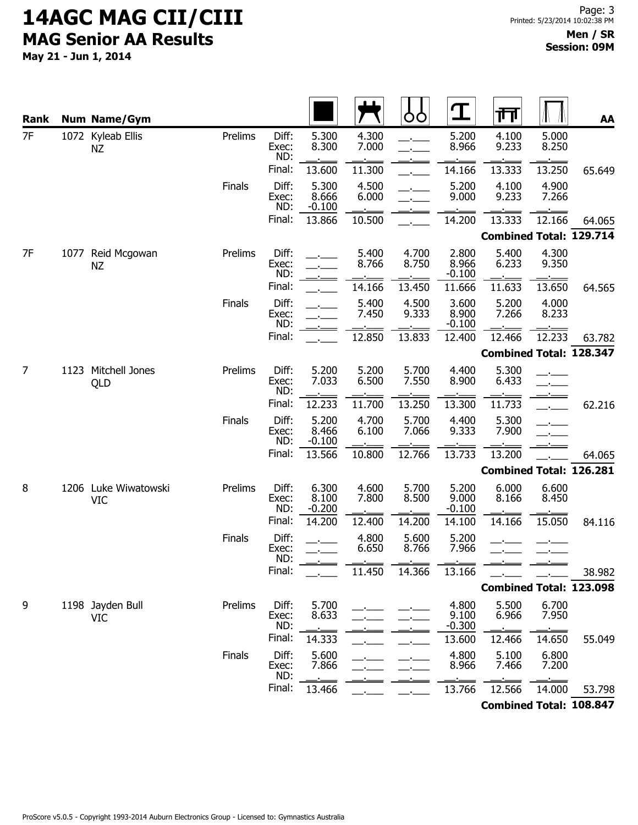| Rank |      | <b>Num Name/Gym</b>                |         |                       |                            |                | O              |                            | गा                             |                | AA     |
|------|------|------------------------------------|---------|-----------------------|----------------------------|----------------|----------------|----------------------------|--------------------------------|----------------|--------|
| 7F   |      | 1072 Kyleab Ellis<br><b>NZ</b>     | Prelims | Diff:<br>Exec:<br>ND: | 5.300<br>8.300             | 4.300<br>7.000 |                | 5.200<br>8.966             | 4.100<br>9.233                 | 5.000<br>8.250 |        |
|      |      |                                    |         | Final:                | 13.600                     | 11.300         |                | 14.166                     | 13.333                         | 13.250         | 65.649 |
|      |      |                                    | Finals  | Diff:<br>Exec:<br>ND: | 5.300<br>8.666<br>$-0.100$ | 4.500<br>6.000 |                | 5.200<br>9.000             | 4.100<br>9.233                 | 4.900<br>7.266 |        |
|      |      |                                    |         | Final:                | 13.866                     | 10.500         |                | 14.200                     | 13.333                         | 12.166         | 64.065 |
|      |      |                                    |         |                       |                            |                |                |                            | <b>Combined Total: 129.714</b> |                |        |
| 7F   | 1077 | Reid Mcgowan<br><b>NZ</b>          | Prelims | Diff:<br>Exec:<br>ND: |                            | 5.400<br>8.766 | 4.700<br>8.750 | 2.800<br>8.966<br>$-0.100$ | 5.400<br>6.233                 | 4.300<br>9.350 |        |
|      |      |                                    |         | Final:                |                            | 14.166         | 13.450         | 11.666                     | 11.633                         | 13.650         | 64.565 |
|      |      |                                    | Finals  | Diff:<br>Exec:<br>ND: |                            | 5.400<br>7.450 | 4.500<br>9.333 | 3.600<br>8.900<br>$-0.100$ | 5.200<br>7.266                 | 4.000<br>8.233 |        |
|      |      |                                    |         | Final:                |                            | 12.850         | 13.833         | 12.400                     | 12.466                         | 12.233         | 63.782 |
|      |      |                                    |         |                       |                            |                |                |                            | <b>Combined Total: 128.347</b> |                |        |
| 7    |      | 1123 Mitchell Jones<br>QLD         | Prelims | Diff:<br>Exec:<br>ND: | 5.200<br>7.033             | 5.200<br>6.500 | 5.700<br>7.550 | 4.400<br>8.900             | 5.300<br>6.433                 |                |        |
|      |      |                                    |         | Final:                | 12.233                     | 11.700         | 13.250         | 13.300                     | 11.733                         |                | 62.216 |
|      |      |                                    | Finals  | Diff:<br>Exec:<br>ND: | 5.200<br>8.466<br>$-0.100$ | 4.700<br>6.100 | 5.700<br>7.066 | 4.400<br>9.333             | 5.300<br>7.900                 |                |        |
|      |      |                                    |         | Final:                | 13.566                     | 10.800         | 12.766         | 13.733                     | 13.200                         |                | 64.065 |
|      |      |                                    |         |                       |                            |                |                |                            | <b>Combined Total: 126.281</b> |                |        |
| 8    |      | 1206 Luke Wiwatowski<br><b>VIC</b> | Prelims | Diff:<br>Exec:<br>ND: | 6.300<br>8.100<br>$-0.200$ | 4.600<br>7.800 | 5.700<br>8.500 | 5.200<br>9.000<br>$-0.100$ | 6.000<br>8.166                 | 6.600<br>8.450 |        |
|      |      |                                    |         | Final:                | 14.200                     | 12.400         | 14.200         | 14.100                     | 14.166                         | 15.050         | 84.116 |
|      |      |                                    | Finals  | Diff:<br>Exec:<br>ND: |                            | 4.800<br>6.650 | 5.600<br>8.766 | 5.200<br>7.966             |                                |                |        |
|      |      |                                    |         | Final:                |                            | 11.450         | 14.366         | 13.166                     |                                |                | 38.982 |
|      |      |                                    |         |                       |                            |                |                |                            | <b>Combined Total: 123.098</b> |                |        |
| 9    |      | 1198 Jayden Bull<br><b>VIC</b>     | Prelims | Diff:<br>Exec:<br>ND: | 5.700<br>8.633             |                |                | 4.800<br>9.100<br>$-0.300$ | 5.500<br>6.966                 | 6.700<br>7.950 |        |
|      |      |                                    |         | Final:                | 14.333                     |                |                | 13.600                     | 12.466                         | 14.650         | 55.049 |
|      |      |                                    | Finals  | Diff:<br>Exec:<br>ND: | 5.600<br>7.866             |                |                | 4.800<br>8.966             | 5.100<br>7.466                 | 6.800<br>7.200 |        |
|      |      |                                    |         | Final:                | 13.466                     |                |                | 13.766                     | 12.566                         | 14.000         | 53.798 |
|      |      |                                    |         |                       |                            |                |                |                            | <b>Combined Total: 108.847</b> |                |        |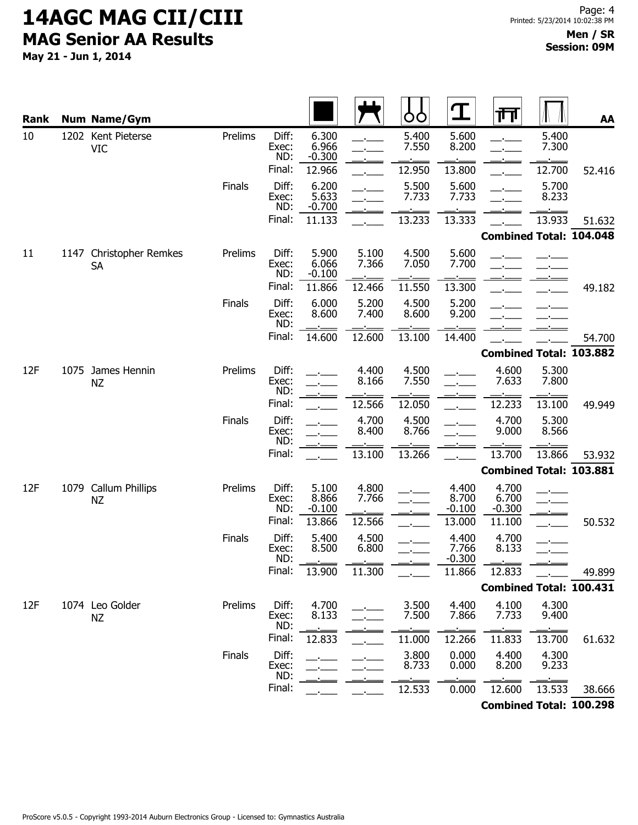| Rank |      | <b>Num Name/Gym</b>                    |               |                       |                            |                | Ò<br>Ò         |                            | 帀                              |                | AA     |
|------|------|----------------------------------------|---------------|-----------------------|----------------------------|----------------|----------------|----------------------------|--------------------------------|----------------|--------|
| 10   |      | 1202 Kent Pieterse<br><b>VIC</b>       | Prelims       | Diff:<br>Exec:<br>ND: | 6.300<br>6.966<br>$-0.300$ |                | 5.400<br>7.550 | 5.600<br>8.200             |                                | 5.400<br>7.300 |        |
|      |      |                                        |               | Final:                | 12.966                     |                | 12.950         | 13.800                     |                                | 12.700         | 52.416 |
|      |      |                                        | Finals        | Diff:<br>Exec:<br>ND: | 6.200<br>5.633<br>$-0.700$ |                | 5.500<br>7.733 | 5.600<br>7.733             |                                | 5.700<br>8.233 |        |
|      |      |                                        |               | Final:                | 11.133                     |                | 13.233         | 13.333                     |                                | 13.933         | 51.632 |
|      |      |                                        |               |                       |                            |                |                |                            | <b>Combined Total: 104.048</b> |                |        |
| 11   | 1147 | <b>Christopher Remkes</b><br><b>SA</b> | Prelims       | Diff:<br>Exec:<br>ND: | 5.900<br>6.066<br>$-0.100$ | 5.100<br>7.366 | 4.500<br>7.050 | 5.600<br>7.700             |                                |                |        |
|      |      |                                        |               | Final:                | 11.866                     | 12.466         | 11.550         | 13.300                     |                                |                | 49.182 |
|      |      |                                        | Finals        | Diff:<br>Exec:<br>ND: | 6.000<br>8.600             | 5.200<br>7.400 | 4.500<br>8.600 | 5.200<br>9.200             |                                |                |        |
|      |      |                                        |               | Final:                | 14.600                     | 12.600         | 13.100         | 14.400                     |                                |                | 54.700 |
|      |      |                                        |               |                       |                            |                |                |                            | <b>Combined Total: 103.882</b> |                |        |
| 12F  |      | 1075 James Hennin<br><b>NZ</b>         | Prelims       | Diff:<br>Exec:<br>ND: |                            | 4.400<br>8.166 | 4.500<br>7.550 |                            | 4.600<br>7.633                 | 5.300<br>7.800 |        |
|      |      |                                        |               | Final:                |                            | 12.566         | 12.050         |                            | 12.233                         | 13.100         | 49.949 |
|      |      |                                        | Finals        | Diff:<br>Exec:<br>ND: |                            | 4.700<br>8.400 | 4.500<br>8.766 |                            | 4.700<br>9.000                 | 5.300<br>8.566 |        |
|      |      |                                        |               | Final:                |                            | 13.100         | 13.266         |                            | 13.700                         | 13.866         | 53.932 |
|      |      |                                        |               |                       |                            |                |                |                            | <b>Combined Total: 103.881</b> |                |        |
| 12F  | 1079 | <b>Callum Phillips</b><br>NZ           | Prelims       | Diff:<br>Exec:<br>ND: | 5.100<br>8.866<br>$-0.100$ | 4.800<br>7.766 |                | 4.400<br>8.700<br>$-0.100$ | 4.700<br>6.700<br>$-0.300$     |                |        |
|      |      |                                        |               | Final:                | 13.866                     | 12.566         |                | 13.000                     | 11.100                         |                | 50.532 |
|      |      |                                        | Finals        | Diff:<br>Exec:<br>ND: | 5.400<br>8.500             | 4.500<br>6.800 |                | 4.400<br>7.766<br>$-0.300$ | 4.700<br>8.133                 |                |        |
|      |      |                                        |               | Final:                | 13.900                     | 11.300         |                | 11.866                     | 12.833                         |                | 49.899 |
|      |      |                                        |               |                       |                            |                |                |                            | <b>Combined Total: 100.431</b> |                |        |
| 12F  |      | 1074 Leo Golder<br>NZ                  | Prelims       | Diff:<br>Exec:<br>ND: | 4.700<br>8.133             |                | 3.500<br>7.500 | 4.400<br>7.866             | 4.100<br>7.733                 | 4.300<br>9.400 |        |
|      |      |                                        |               | Final:                | 12.833                     |                | 11.000         | 12.266                     | 11.833                         | 13.700         | 61.632 |
|      |      |                                        | <b>Finals</b> | Diff:<br>Exec:<br>ND: |                            |                | 3.800<br>8.733 | 0.000<br>0.000             | 4.400<br>8.200                 | 4.300<br>9.233 |        |
|      |      |                                        |               | Final:                |                            |                | 12.533         | 0.000                      | 12.600                         | 13.533         | 38.666 |
|      |      |                                        |               |                       |                            |                |                |                            | <b>Combined Total: 100.298</b> |                |        |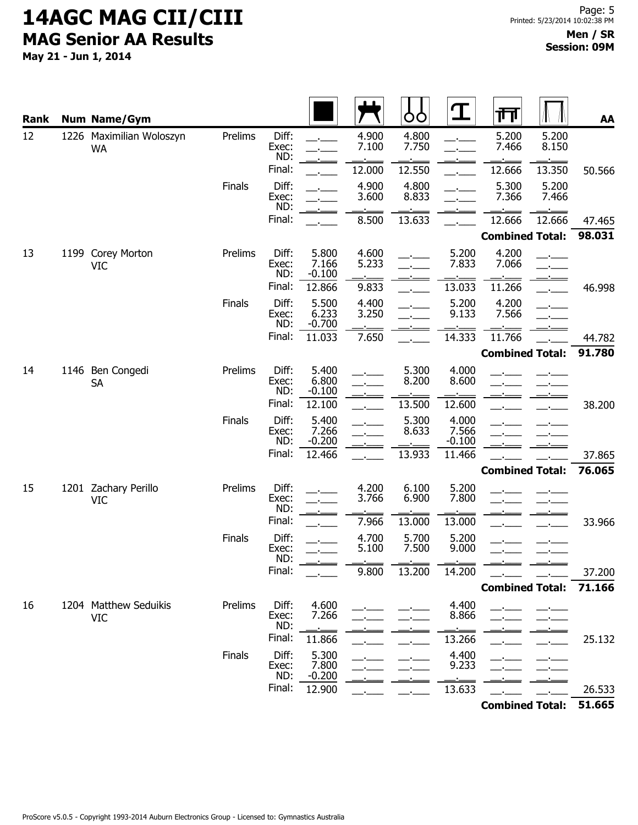| <b>Rank</b> |  | <b>Num Name/Gym</b>                   |         |                       |                            |                | OO             | $\mathbf T$                | 帀                      |                | AA     |
|-------------|--|---------------------------------------|---------|-----------------------|----------------------------|----------------|----------------|----------------------------|------------------------|----------------|--------|
| 12          |  | 1226 Maximilian Woloszyn<br><b>WA</b> | Prelims | Diff:<br>Exec:<br>ND: |                            | 4.900<br>7.100 | 4.800<br>7.750 |                            | 5.200<br>7.466         | 5.200<br>8.150 |        |
|             |  |                                       |         | Final:                |                            | 12.000         | 12.550         |                            | 12.666                 | 13.350         | 50.566 |
|             |  |                                       | Finals  | Diff:<br>Exec:<br>ND: |                            | 4.900<br>3.600 | 4.800<br>8.833 |                            | 5.300<br>7.366         | 5.200<br>7.466 |        |
|             |  |                                       |         | Final:                |                            | 8.500          | 13.633         |                            | 12.666                 | 12.666         | 47.465 |
|             |  |                                       |         |                       |                            |                |                |                            | <b>Combined Total:</b> |                | 98.031 |
| 13          |  | 1199 Corey Morton<br><b>VIC</b>       | Prelims | Diff:<br>Exec:<br>ND: | 5.800<br>7.166<br>$-0.100$ | 4.600<br>5.233 |                | 5.200<br>7.833             | 4.200<br>7.066         |                |        |
|             |  |                                       |         | Final:                | 12.866                     | 9.833          |                | 13.033                     | 11.266                 |                | 46.998 |
|             |  |                                       | Finals  | Diff:<br>Exec:<br>ND: | 5.500<br>6.233<br>$-0.700$ | 4.400<br>3.250 |                | 5.200<br>9.133             | 4.200<br>7.566         |                |        |
|             |  |                                       |         | Final:                | 11.033                     | 7.650          |                | 14.333                     | 11.766                 |                | 44.782 |
|             |  |                                       |         |                       |                            |                |                |                            | <b>Combined Total:</b> |                | 91.780 |
| 14          |  | 1146 Ben Congedi<br><b>SA</b>         | Prelims | Diff:<br>Exec:<br>ND: | 5.400<br>6.800<br>$-0.100$ |                | 5.300<br>8.200 | 4.000<br>8.600             |                        |                |        |
|             |  |                                       |         | Final:                | 12.100                     |                | 13.500         | 12.600                     |                        |                | 38.200 |
|             |  |                                       | Finals  | Diff:<br>Exec:<br>ND: | 5.400<br>7.266<br>$-0.200$ |                | 5.300<br>8.633 | 4.000<br>7.566<br>$-0.100$ |                        |                |        |
|             |  |                                       |         | Final:                | 12.466                     |                | 13.933         | 11.466                     |                        |                | 37.865 |
|             |  |                                       |         |                       |                            |                |                |                            | <b>Combined Total:</b> |                | 76.065 |
| 15          |  | 1201 Zachary Perillo<br><b>VIC</b>    | Prelims | Diff:<br>Exec:<br>ND: |                            | 4.200<br>3.766 | 6.100<br>6.900 | 5.200<br>7.800             |                        |                |        |
|             |  |                                       |         | Final:                |                            | 7.966          | 13.000         | 13.000                     |                        |                | 33.966 |
|             |  |                                       | Finals  | Diff:<br>Exec:<br>ND: |                            | 4.700<br>5.100 | 5.700<br>7.500 | 5.200<br>9.000             |                        |                |        |
|             |  |                                       |         | Final:                |                            | 9.800          | 13.200         | 14.200                     |                        |                | 37.200 |
|             |  |                                       |         |                       |                            |                |                |                            | <b>Combined Total:</b> |                | 71.166 |
| 16          |  | 1204 Matthew Seduikis<br><b>VIC</b>   | Prelims | Diff:<br>Exec:<br>ND: | 4.600<br>7.266             |                |                | 4.400<br>8.866             |                        |                |        |
|             |  |                                       |         | Final:                | 11.866                     |                |                | 13.266                     |                        |                | 25.132 |
|             |  |                                       | Finals  | Diff:<br>Exec:<br>ND: | 5.300<br>7.800<br>$-0.200$ |                |                | 4.400<br>9.233             |                        |                |        |
|             |  |                                       |         | Final:                | 12.900                     |                |                | 13.633                     |                        |                | 26.533 |
|             |  |                                       |         |                       |                            |                |                |                            | <b>Combined Total:</b> |                | 51.665 |